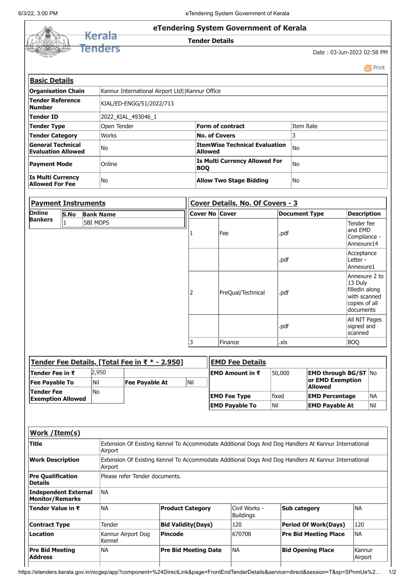Ì

|  | eTendering System Government of Kerala |                            |
|--|----------------------------------------|----------------------------|
|  | <b>Tender Details</b>                  |                            |
|  |                                        | Date: 03-Jun-2022 02:58 PM |

|                                                       |                                                 |                                                    | 昌 Print   |
|-------------------------------------------------------|-------------------------------------------------|----------------------------------------------------|-----------|
| <b>Basic Details</b>                                  |                                                 |                                                    |           |
| <b>Organisation Chain</b>                             | Kannur International Airport Ltd  Kannur Office |                                                    |           |
| Tender Reference<br><b>Number</b>                     | KIAL/ED-ENGG/51/2022/713                        |                                                    |           |
| Tender ID                                             | 2022 KIAL 493046 1                              |                                                    |           |
| Tender Type                                           | Open Tender                                     | Form of contract                                   | Item Rate |
| <b>Tender Category</b>                                | Works                                           | <b>No. of Covers</b>                               |           |
| <b>General Technical</b><br><b>Evaluation Allowed</b> | lNo                                             | ItemWise Technical Evaluation<br>Allowed           | No        |
| <b>Payment Mode</b>                                   | <b>Online</b>                                   | <b>Is Multi Currency Allowed For</b><br><b>BOO</b> | lNo       |
| <b>Is Multi Currency</b><br><b>Allowed For Fee</b>    | lNo                                             | <b>Allow Two Stage Bidding</b>                     | lNo       |

| <b>Payment Instruments</b> |      |                  | Cover Details, No. Of Covers - 3 |                |                   |                      |                                                                                          |
|----------------------------|------|------------------|----------------------------------|----------------|-------------------|----------------------|------------------------------------------------------------------------------------------|
| Online                     | S.No | <b>Bank Name</b> |                                  | Cover No Cover |                   | <b>Document Type</b> | <b>Description</b>                                                                       |
| <b>Bankers</b>             |      | <b>SBI MOPS</b>  |                                  |                | Fee               | .pdf                 | Tender fee<br>land EMD<br>Compliance -<br>Annexure14                                     |
|                            |      |                  |                                  |                |                   | .pdf                 | Acceptance<br>Letter -<br>Annexure1                                                      |
|                            |      |                  | 2                                |                | PreQual/Technical | .pdf                 | Annexure 2 to<br>13 Duly<br>filledin along<br>with scanned<br>copies of all<br>documents |
|                            |      |                  |                                  |                |                   | .pdf                 | All NIT Pages<br>signed and<br>scanned                                                   |
|                            |      |                  | 3                                |                | Finance           | .xls                 | BOQ                                                                                      |

| <b>Tender Fee Details, [Total Fee in ₹ <math>*</math> - 2,950]</b> |       |                       |     | <b>EMD Fee Details</b>  |             |                             |     |  |
|--------------------------------------------------------------------|-------|-----------------------|-----|-------------------------|-------------|-----------------------------|-----|--|
| <b>Tender Fee in ₹</b>                                             | 2.950 |                       |     | <b>IEMD Amount in ₹</b> | 50,000      | <b>EMD through BG/ST No</b> |     |  |
| <b>Fee Payable To</b>                                              | Nil   | <b>Fee Payable At</b> | Nil |                         |             | or EMD Exemption<br>Allowed |     |  |
| Tender Fee<br><b>Exemption Allowed</b>                             | lNo.  |                       |     | <b>EMD Fee Type</b>     | lfixed      | <b>EMD Percentage</b>       | lna |  |
|                                                                    |       |                       |     | <b>EMD Payable To</b>   | <b>INil</b> | <b>EMD Payable At</b>       | Nil |  |

| Work / Item(s)                                 |                                                                                                                 |                             |                                   |                              |                   |  |  |
|------------------------------------------------|-----------------------------------------------------------------------------------------------------------------|-----------------------------|-----------------------------------|------------------------------|-------------------|--|--|
| <b>Title</b>                                   | Extension Of Existing Kennel To Accommodate Additional Dogs And Dog Handlers At Kannur International<br>Airport |                             |                                   |                              |                   |  |  |
| <b>Work Description</b>                        | Extension Of Existing Kennel To Accommodate Additional Dogs And Dog Handlers At Kannur International<br>Airport |                             |                                   |                              |                   |  |  |
| <b>Pre Qualification</b><br><b>Details</b>     | Please refer Tender documents.                                                                                  |                             |                                   |                              |                   |  |  |
| Independent External<br><b>Monitor/Remarks</b> | INA                                                                                                             |                             |                                   |                              |                   |  |  |
| Tender Value in ₹                              | <b>NA</b>                                                                                                       | <b>Product Category</b>     | Civil Works -<br><b>Buildings</b> | Sub category                 | INA               |  |  |
| <b>Contract Type</b>                           | Tender                                                                                                          | <b>Bid Validity(Days)</b>   | 120                               | <b>Period Of Work(Days)</b>  | 120               |  |  |
| Location                                       | Kannur Airport Dog<br>Kennel                                                                                    | <b>Pincode</b>              | 670708                            | <b>Pre Bid Meeting Place</b> | INA               |  |  |
| <b>Pre Bid Meeting</b><br><b>Address</b>       | <b>NA</b>                                                                                                       | <b>Pre Bid Meeting Date</b> | INA.                              | <b>Bid Opening Place</b>     | Kannur<br>Airport |  |  |

https://etenders.kerala.gov.in/nicgep/app?component=%24DirectLink&page=FrontEndTenderDetails&service=direct&session=T&sp=SPnmUe%2… 1/2